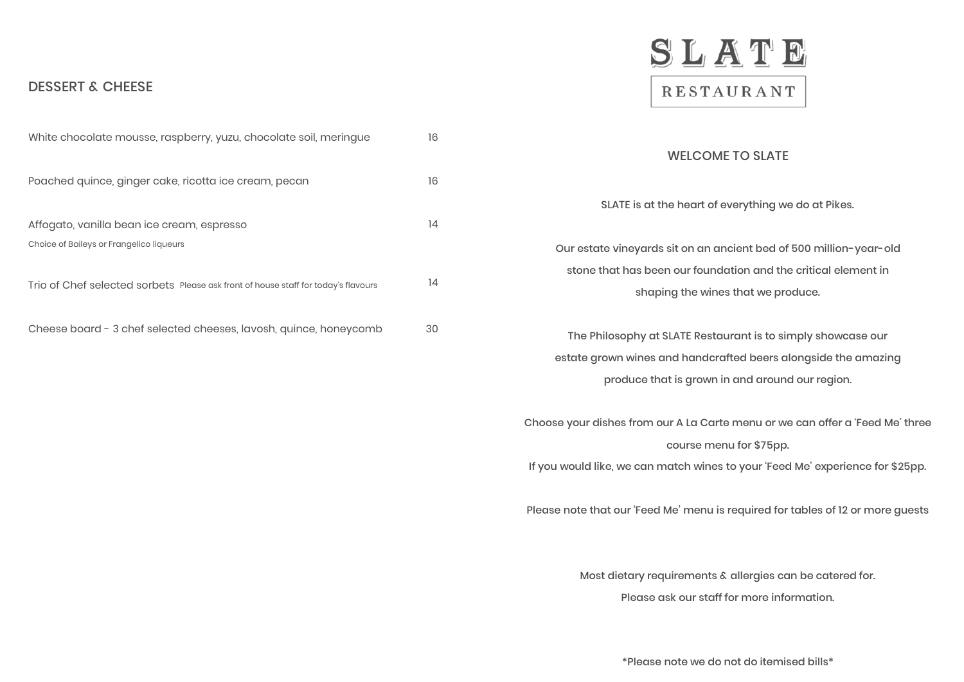## DESSERT & CHEESE

| White chocolate mousse, raspberry, yuzu, chocolate soil, meringue                  | 16 |
|------------------------------------------------------------------------------------|----|
| Poached quince, ginger cake, ricotta ice cream, pecan                              | 16 |
| Affogato, vanilla bean ice cream, espresso                                         | 14 |
| Choice of Baileys or Frangelico liqueurs                                           |    |
| Trio of Chef selected sorbets Please ask front of house staff for today's flavours | 14 |
| Cheese board - 3 chef selected cheeses, lavosh, quince, honeycomb                  | 30 |

## SLATE **RESTAURANT**

## WELCOME TO SLATE

SLATE is at the heart of everything we do at Pikes.

Our estate vineyards sit on an ancient bed of 500 million-year-old stone that has been our foundation and the critical element in shaping the wines that we produce.

The Philosophy at SLATE Restaurant is to simply showcase our estate grown wines and handcrafted beers alongside the amazing produce that is grown in and around our region.

Choose your dishes from our A La Carte menu or we can offer a 'Feed Me' three course menu for \$75pp.

If you would like, we can match wines to your 'Feed Me' experience for \$25pp.

Please note that our 'Feed Me' menu is required for tables of 12 or more guests

Most dietary requirements & allergies can be catered for.

Please ask our staff for more information.

\*Please note we do not do itemised bills\*